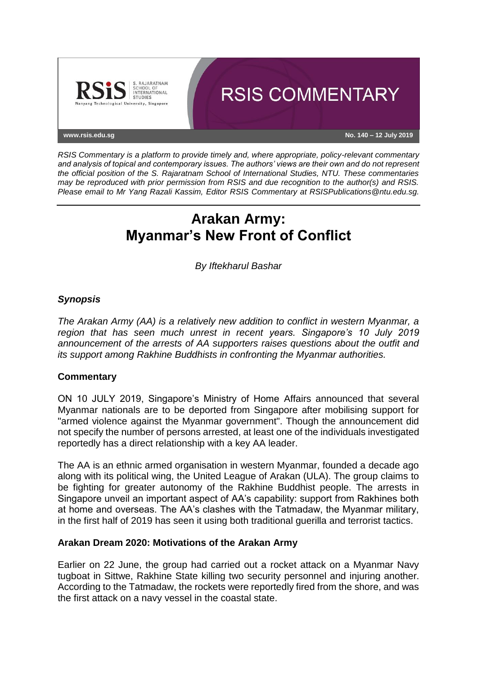

*RSIS Commentary is a platform to provide timely and, where appropriate, policy-relevant commentary and analysis of topical and contemporary issues. The authors' views are their own and do not represent the official position of the S. Rajaratnam School of International Studies, NTU. These commentaries may be reproduced with prior permission from RSIS and due recognition to the author(s) and RSIS. Please email to Mr Yang Razali Kassim, Editor RSIS Commentary at RSISPublications@ntu.edu.sg.*

# **Arakan Army: Myanmar's New Front of Conflict**

*By Iftekharul Bashar*

## *Synopsis*

*The Arakan Army (AA) is a relatively new addition to conflict in western Myanmar, a region that has seen much unrest in recent years. Singapore's 10 July 2019 announcement of the arrests of AA supporters raises questions about the outfit and its support among Rakhine Buddhists in confronting the Myanmar authorities.*

### **Commentary**

ON 10 JULY 2019, Singapore's Ministry of Home Affairs announced that several Myanmar nationals are to be deported from Singapore after mobilising support for "armed violence against the Myanmar government". Though the announcement did not specify the number of persons arrested, at least one of the individuals investigated reportedly has a direct relationship with a key AA leader.

The AA is an ethnic armed organisation in western Myanmar, founded a decade ago along with its political wing, the United League of Arakan (ULA). The group claims to be fighting for greater autonomy of the Rakhine Buddhist people. The arrests in Singapore unveil an important aspect of AA's capability: support from Rakhines both at home and overseas. The AA's clashes with the Tatmadaw, the Myanmar military, in the first half of 2019 has seen it using both traditional guerilla and terrorist tactics.

### **Arakan Dream 2020: Motivations of the Arakan Army**

Earlier on 22 June, the group had carried out a rocket attack on a Myanmar Navy tugboat in Sittwe, Rakhine State killing two security personnel and injuring another. According to the Tatmadaw, the rockets were reportedly fired from the shore, and was the first attack on a navy vessel in the coastal state.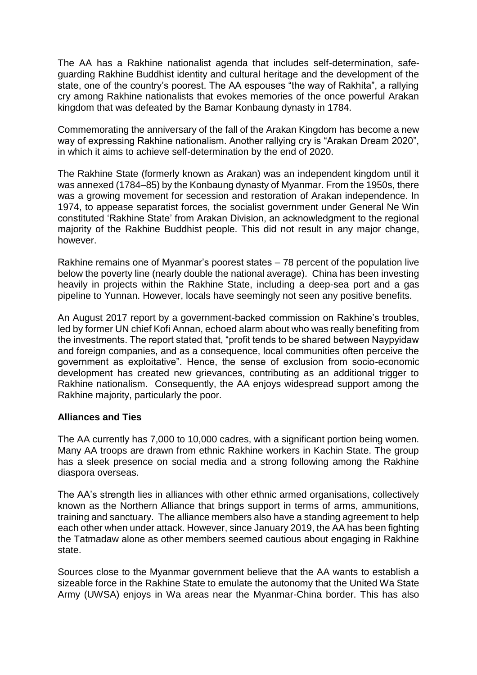The AA has a Rakhine nationalist agenda that includes self-determination, safeguarding Rakhine Buddhist identity and cultural heritage and the development of the state, one of the country's poorest. The AA espouses "the way of Rakhita", a rallying cry among Rakhine nationalists that evokes memories of the once powerful Arakan kingdom that was defeated by the Bamar Konbaung dynasty in 1784.

Commemorating the anniversary of the fall of the Arakan Kingdom has become a new way of expressing Rakhine nationalism. Another rallying cry is "Arakan Dream 2020", in which it aims to achieve self-determination by the end of 2020.

The Rakhine State (formerly known as Arakan) was an independent kingdom until it was annexed (1784–85) by the Konbaung dynasty of Myanmar. From the 1950s, there was a growing movement for secession and restoration of Arakan independence. In 1974, to appease separatist forces, the socialist government under General Ne Win constituted 'Rakhine State' from Arakan Division, an acknowledgment to the regional majority of the Rakhine Buddhist people. This did not result in any major change, however.

Rakhine remains one of Myanmar's poorest states – 78 percent of the population live below the poverty line (nearly double the national average). China has been investing heavily in projects within the Rakhine State, including a deep-sea port and a gas pipeline to Yunnan. However, locals have seemingly not seen any positive benefits.

An August 2017 report by a government-backed commission on Rakhine's troubles, led by former UN chief Kofi Annan, echoed alarm about who was really benefiting from the investments. The report stated that, "profit tends to be shared between Naypyidaw and foreign companies, and as a consequence, local communities often perceive the government as exploitative". Hence, the sense of exclusion from socio-economic development has created new grievances, contributing as an additional trigger to Rakhine nationalism. Consequently, the AA enjoys widespread support among the Rakhine majority, particularly the poor.

### **Alliances and Ties**

The AA currently has 7,000 to 10,000 cadres, with a significant portion being women. Many AA troops are drawn from ethnic Rakhine workers in Kachin State. The group has a sleek presence on social media and a strong following among the Rakhine diaspora overseas.

The AA's strength lies in alliances with other ethnic armed organisations, collectively known as the Northern Alliance that brings support in terms of arms, ammunitions, training and sanctuary. The alliance members also have a standing agreement to help each other when under attack. However, since January 2019, the AA has been fighting the Tatmadaw alone as other members seemed cautious about engaging in Rakhine state.

Sources close to the Myanmar government believe that the AA wants to establish a sizeable force in the Rakhine State to emulate the autonomy that the United Wa State Army (UWSA) enjoys in Wa areas near the Myanmar-China border. This has also